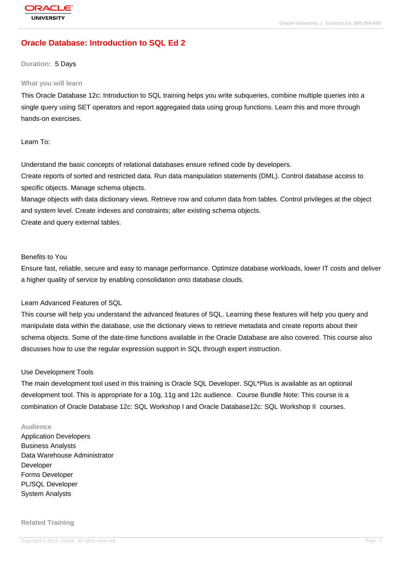# **[Oracle Databas](http://education.oracle.com/pls/web_prod-plq-dad/db_pages.getpage?page_id=3)e: Introduction to SQL Ed 2**

#### **Duration:** 5 Days

#### **What you will learn**

This Oracle Database 12c: Introduction to SQL training helps you write subqueries, combine multiple queries into a single query using SET operators and report aggregated data using group functions. Learn this and more through hands-on exercises.

### Learn To:

Understand the basic concepts of relational databases ensure refined code by developers. Create reports of sorted and restricted data. Run data manipulation statements (DML). Control database access to specific objects. Manage schema objects.

Manage objects with data dictionary views. Retrieve row and column data from tables. Control privileges at the object and system level. Create indexes and constraints; alter existing schema objects. Create and query external tables.

#### Benefits to You

Ensure fast, reliable, secure and easy to manage performance. Optimize database workloads, lower IT costs and deliver a higher quality of service by enabling consolidation onto database clouds.

#### Learn Advanced Features of SQL

This course will help you understand the advanced features of SQL. Learning these features will help you query and manipulate data within the database, use the dictionary views to retrieve metadata and create reports about their schema objects. Some of the date-time functions available in the Oracle Database are also covered. This course also discusses how to use the regular expression support in SQL through expert instruction.

#### Use Development Tools

The main development tool used in this training is Oracle SQL Developer. SQL\*Plus is available as an optional development tool. This is appropriate for a 10g, 11g and 12c audience. Course Bundle Note: This course is a combination of Oracle Database 12c: SQL Workshop I and Oracle Database12c: SQL Workshop II courses.

#### **Audience**

Application Developers Business Analysts Data Warehouse Administrator Developer Forms Developer PL/SQL Developer System Analysts

#### **Related Training**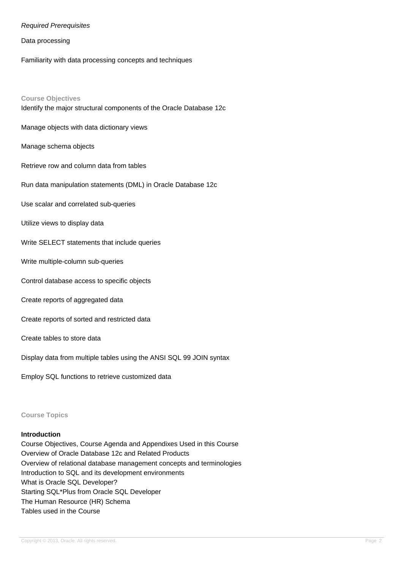### Required Prerequisites

Data processing

Familiarity with data processing concepts and techniques

#### **Course Objectives**

Identify the major structural components of the Oracle Database 12c

Manage objects with data dictionary views

Manage schema objects

Retrieve row and column data from tables

Run data manipulation statements (DML) in Oracle Database 12c

Use scalar and correlated sub-queries

Utilize views to display data

Write SELECT statements that include queries

Write multiple-column sub-queries

Control database access to specific objects

Create reports of aggregated data

Create reports of sorted and restricted data

#### Create tables to store data

Display data from multiple tables using the ANSI SQL 99 JOIN syntax

Employ SQL functions to retrieve customized data

#### **Course Topics**

### **Introduction**

Course Objectives, Course Agenda and Appendixes Used in this Course Overview of Oracle Database 12c and Related Products Overview of relational database management concepts and terminologies Introduction to SQL and its development environments What is Oracle SQL Developer? Starting SQL\*Plus from Oracle SQL Developer The Human Resource (HR) Schema Tables used in the Course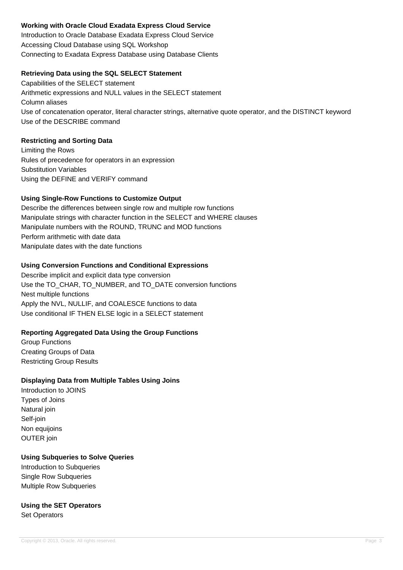# **Working with Oracle Cloud Exadata Express Cloud Service**

Introduction to Oracle Database Exadata Express Cloud Service Accessing Cloud Database using SQL Workshop Connecting to Exadata Express Database using Database Clients

## **Retrieving Data using the SQL SELECT Statement**

Capabilities of the SELECT statement Arithmetic expressions and NULL values in the SELECT statement Column aliases Use of concatenation operator, literal character strings, alternative quote operator, and the DISTINCT keyword Use of the DESCRIBE command

## **Restricting and Sorting Data**

Limiting the Rows Rules of precedence for operators in an expression Substitution Variables Using the DEFINE and VERIFY command

# **Using Single-Row Functions to Customize Output**

Describe the differences between single row and multiple row functions Manipulate strings with character function in the SELECT and WHERE clauses Manipulate numbers with the ROUND, TRUNC and MOD functions Perform arithmetic with date data Manipulate dates with the date functions

## **Using Conversion Functions and Conditional Expressions**

Describe implicit and explicit data type conversion Use the TO\_CHAR, TO\_NUMBER, and TO\_DATE conversion functions Nest multiple functions Apply the NVL, NULLIF, and COALESCE functions to data Use conditional IF THEN ELSE logic in a SELECT statement

### **Reporting Aggregated Data Using the Group Functions**

Group Functions Creating Groups of Data Restricting Group Results

# **Displaying Data from Multiple Tables Using Joins**

Introduction to JOINS Types of Joins Natural join Self-join Non equijoins OUTER join

## **Using Subqueries to Solve Queries**

Introduction to Subqueries Single Row Subqueries Multiple Row Subqueries

### **Using the SET Operators** Set Operators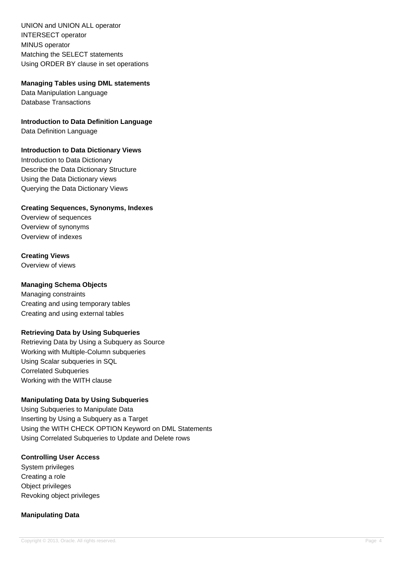UNION and UNION ALL operator INTERSECT operator MINUS operator Matching the SELECT statements Using ORDER BY clause in set operations

## **Managing Tables using DML statements**

Data Manipulation Language Database Transactions

**Introduction to Data Definition Language**

Data Definition Language

# **Introduction to Data Dictionary Views**

Introduction to Data Dictionary Describe the Data Dictionary Structure Using the Data Dictionary views Querying the Data Dictionary Views

## **Creating Sequences, Synonyms, Indexes**

Overview of sequences Overview of synonyms Overview of indexes

# **Creating Views**

Overview of views

## **Managing Schema Objects**

Managing constraints Creating and using temporary tables Creating and using external tables

# **Retrieving Data by Using Subqueries**

Retrieving Data by Using a Subquery as Source Working with Multiple-Column subqueries Using Scalar subqueries in SQL Correlated Subqueries Working with the WITH clause

# **Manipulating Data by Using Subqueries**

Using Subqueries to Manipulate Data Inserting by Using a Subquery as a Target Using the WITH CHECK OPTION Keyword on DML Statements Using Correlated Subqueries to Update and Delete rows

## **Controlling User Access**

System privileges Creating a role Object privileges Revoking object privileges

# **Manipulating Data**